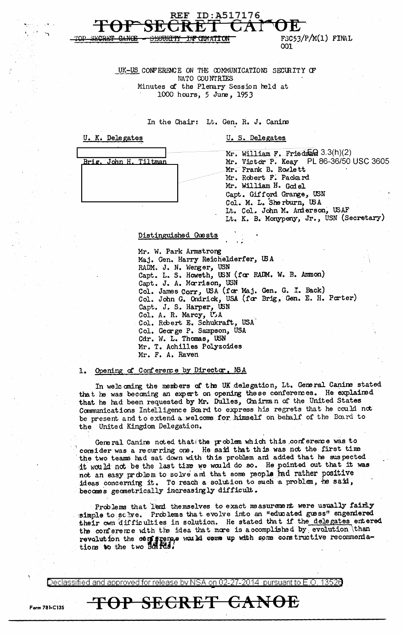$FSC53/P/M(1)$  FIML 001

UK-US CONFERENCE ON THE COMMUNICATIONS SECURITY OF NATO COUNTRIES Minutes of the Plenary Session held at 1000 hours, 5 June, 1953

ID:A517176

In the Chair: Lt. Gen. R. J. Canine

| Mr. William F. Friedman 3.3(h)(2)<br>Mr. Victor P. Keay PL 86-36/50 USC 3605<br>Brig. John H. Tiltman<br>Mr. Frank B. Rowlett                                                         |  |
|---------------------------------------------------------------------------------------------------------------------------------------------------------------------------------------|--|
| Mr. Robert F. Packard<br>Mr. William H. Godel<br>Capt. Gifford Grange, USN<br>Col. M. L. Sherburn, USA<br>Lt. Col. John M. Anderson, USAF<br>Lt. K. B. Monypeny, Jr., USN (Secretary) |  |

### Distinguished Guests

REF

Mr. W. Park Armstrong Maj. Gen. Harry Reichelderfer, USA RADM. J. N. Wenger, USN<br>Capt. L. S. Howeth, USN (for RADM. W. B. Ammon)<br>Capt. J. A. Morrison, USN<br>Col. James Corr, USA (for Maj. Gen. G. I. Back) Col. John G. Ondrick, USA (for Brig. Gen. E. H. Porter) Capt. J. S. Harper, USN Col. A. R. Marcy, U.A Col. Robert E. Schukraft, USA Col. George P. Sampson, USA Cdr. W. L. Thomas, USN Mr. T. Achilles Polyzoides<br>Mr. F. A. Raven

### Opening of Conference by Director, NSA 1.

In welcoming the members of the UK delegation, Lt. General Canine stated that he was becoming an expert on opening these conferences. He explained that he had been requested by Mr. Dulles, Chairman of the United States Communications Intelligence Board to express his regrets that he could not be present and to extend a welcome for himself on behalf of the Board to the United Kingdom Delegation.

General Canine noted that the problem which this conference was to consider was a recurring one. He said that this was not the first time the two teams had sat down with this problem and added that he suspected it would not be the last time we would do so. He pointed out that it was not an easy problem to solve and that some people had rather positive ideas concerning it. To reach a solution to such a problem, he said, becomes geometrically increasingly difficult.

Problems that lend themselves to exact measurement were usually fairly simple to schve. Problems that evolve into an "educated guess" engendered their own difficulties in solution. He stated that if the delegates entered the conference with the idea that more is accomplished by evolution than revolution the configuence would come up with some constructive recommenda-<br>tions to the two boards.

Declassified and approved for release by NSA on 02-27-2014 pursuant to E.O. 13520

TOP SECRET <del>CANOE</del>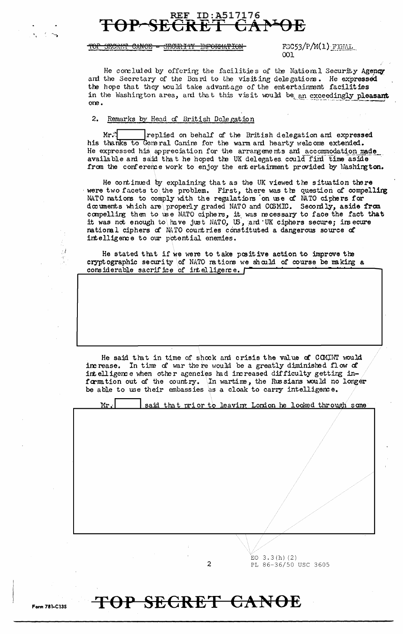## ID:A517176 REF

#### TOP SECRET CANOE -<del>JECURITY</del> <del>INFORMATION</del>

 $FSG53/P/M(1)$  FINAL  $\Omega$ 

He concluded by offering the facilities of the National Security Agency and the Secretary of the Board to the visiting delegations. He expressed the hope that they would take advantage of the entertainment facilities in the Washington area, and that this visit would be an exceedingly pleasant one.

### $2.$ Remarks by Head of British Delegation

 $Mr.$ replied on behalf of the British delegation and expressed his thanks to General Canine for the warm and hearty welcome extended. He expressed his appreciation for the arrangements and accommodation made available and said that he hoped the UK delegates could find time aside from the conference work to enjoy the entertainment provided by Washington.

He continued by explaining that as the UK viewed the situation there were two facets to the problem. First, there was the question of compelling NATO nations to comply with the regulations on use of NATO ciphers for documents which are properly graded NATO and COSMIC. Secondly, aside from compelling them to use NATO ciphers, it was necessary to face the fact that it was not enough to have just NATO, US, and UK ciphers secure; insecure national ciphers of MTO countries constituted a dangerous source of intelligence to our potential enemies.

He stated that if we were to take positive action to improve the crypt ographic security of NATO nations we should of course be making a considerable sacrifice of intelligence. [

He said that in time of shock and crisis the value of COMINT would In time of war there would be a greatly diminished flow of increase. intelligence when other agencies had increased difficulty getting information out of the country. In wartime, the Russians would no longer be able to use their embassies as a cloak to carry intelligence.



 $\overline{c}$ 

EO  $3.3(h)$  (2) PL 86-36/50 USC 3605

# TOP SECRET CANOE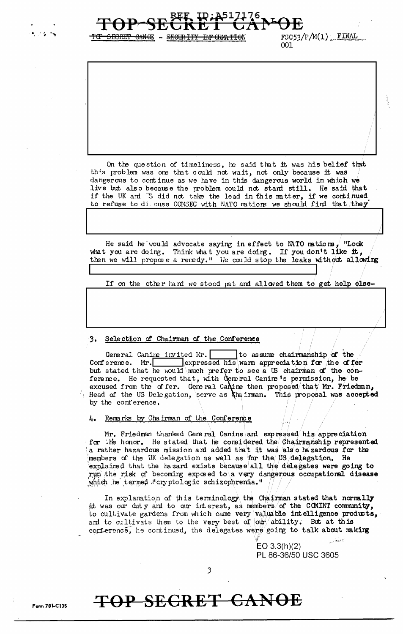$FSC53/P/M(1)$  FINAL 001

On the question of timeliness, he said that it was his belief that this problem was one that could not wait, not only because it was dangerous to continue as we have in this dangerous world in which we live but also because the problem could not stand still. He said that if the UK and 'S did not take the lead in this matter, if we continued to refuse to di cuss COMSEC with NATO mations we should find that they

<del>INF CIMATIO</del>N

 $^{\circ}$  "Lock He said he would advocate saying in effect to MTO mations, what you are doing. Think what you are doing. If you don't like it, then we will propose a remedy." We could stop the leaks without allowing

If on the other hand we stood pat and allowed them to get help else-

### 3. Selection of Chairman of the Conference

<del>CANCE</del> - <del>SECURITY</del>

Ito assume chairmanship of the General Canine invited Mr. expressed his warm appreciation for the offer Conference. Mr. but stated that he would much prefer to see a US chairman of the conference. He requested that, with General Canine's permission, he be excused from the offer. General Canine then proposed that Mr. Friedman, Head of the US Delegation, serve as thairman. This proposal was accepted by the conference.

### Remarks by Chairman of the Conference 4.

Mr. Friedman thanked General Canine and expressed his appreciation for the honor. He stated that he considered the Chairman ship represented a rather hazardous mission and added that it was also hazardous for the members of the UK delegation as well as for the US delegation. He explained that the hazard exists because all the delegates were going to run the risk of becoming exposed to a very dangerous occupational disease which he termed "cryptologic schizophrenia."

In explanation of this terminology the Chairman stated that normally it was our duty and to our interest, as members of the COMINT community, to cultivate gardens from which came very valuable intelligence products, and to cultivate them to the very best of our ability. But at this conference, he continued, the delegates were going to talk about making

> $EO 3.3(h)(2)$ PL 86-36/50 USC 3605

3

# TOP SECRET CANOE